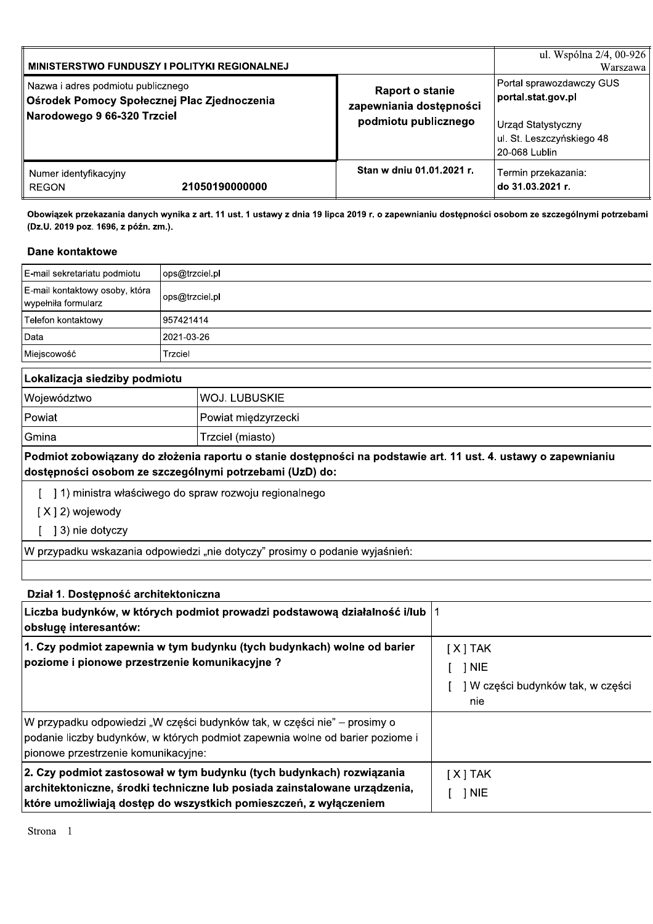| <b>MINISTERSTWO FUNDUSZY I POLITYKI REGIONALNEJ</b>                                                                |                                                                           | ul. Wspólna 2/4, 00-926<br>Warszawa                                                                                       |
|--------------------------------------------------------------------------------------------------------------------|---------------------------------------------------------------------------|---------------------------------------------------------------------------------------------------------------------------|
| Nazwa i adres podmiotu publicznego<br>│ Ośrodek Pomocy Społecznej Plac Zjednoczenia<br>Narodowego 9 66-320 Trzciel | <b>Raport o stanie</b><br>zapewniania dostępności<br>podmiotu publicznego | Portal sprawozdawczy GUS<br>portal.stat.gov.pl<br><b>Urząd Statystyczny</b><br>ul. St. Leszczyńskiego 48<br>20-068 Lublin |
| Numer identyfikacyjny<br>21050190000000<br><b>REGON</b>                                                            | Stan w dniu 01.01.2021 r.                                                 | Termin przekazania:<br> do 31.03.2021 r.                                                                                  |

Obowiązek przekazania danych wynika z art. 11 ust. 1 ustawy z dnia 19 lipca 2019 r. o zapewnianiu dostępności osobom ze szczególnymi potrzebami (Dz.U. 2019 poz. 1696, z późn. zm.).

#### **Dane kontaktowe**

| ops@trzciel.pl |
|----------------|
| ops@trzciel.pl |
| 957421414      |
| 2021-03-26     |
| Trzciel        |
|                |

## Lokalizacja siedziby podmiotu

| Województwo | <b>WOJ. LUBUSKIE</b> |
|-------------|----------------------|
| Powiat      | Powiat międzyrzecki  |
| Gmina       | Trzciel (miasto)     |

Podmiot zobowiązany do złożenia raportu o stanie dostępności na podstawie art. 11 ust. 4. ustawy o zapewnianiu dostępności osobom ze szczególnymi potrzebami (UzD) do:

- [ ] 1) ministra właściwego do spraw rozwoju regionalnego
- $[X]$  2) wojewody
- [ ] 3) nie dotyczy

W przypadku wskazania odpowiedzi "nie dotyczy" prosimy o podanie wyjaśnień:

| Dział 1. Dostępność architektoniczna                                                                                                                                                                                   |                                                                |
|------------------------------------------------------------------------------------------------------------------------------------------------------------------------------------------------------------------------|----------------------------------------------------------------|
| Liczba budynków, w których podmiot prowadzi podstawową działalność i/lub  1<br>obsługę interesantów:                                                                                                                   |                                                                |
| 1. Czy podmiot zapewnia w tym budynku (tych budynkach) wolne od barier<br>poziome i pionowe przestrzenie komunikacyjne?                                                                                                | $[X]$ TAK<br>1 NIE<br>] W części budynków tak, w części<br>nie |
| W przypadku odpowiedzi "W części budynków tak, w części nie" – prosimy o<br>podanie liczby budynków, w których podmiot zapewnia wolne od barier poziome i<br>pionowe przestrzenie komunikacyjne:                       |                                                                |
| 2. Czy podmiot zastosował w tym budynku (tych budynkach) rozwiązania<br>architektoniczne, środki techniczne lub posiada zainstalowane urządzenia,<br>które umożliwiają dostęp do wszystkich pomieszczeń, z wyłączeniem | $[X]$ TAK<br>1 NIE                                             |

Strona 1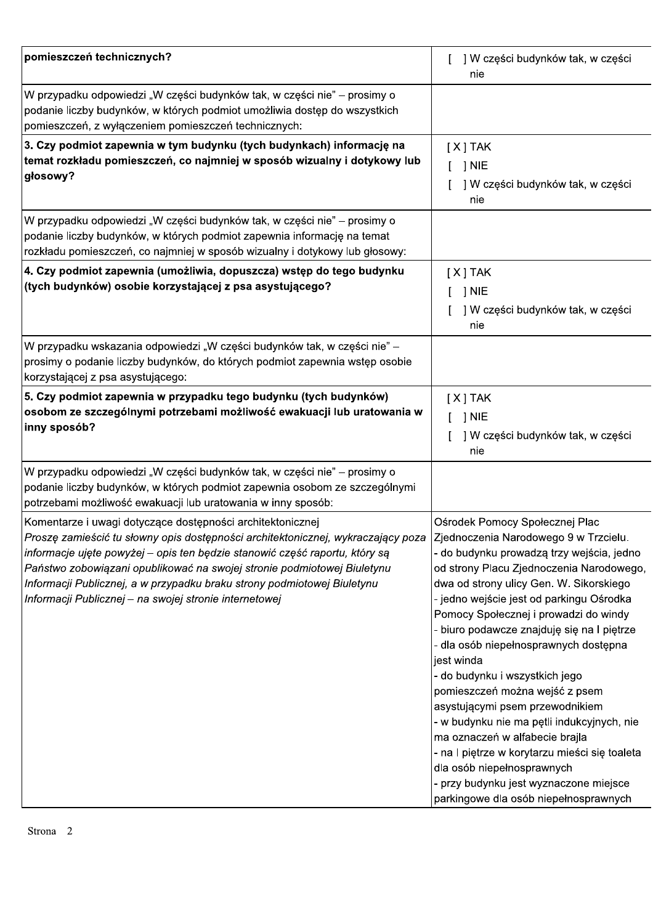| pomieszczeń technicznych?                                                                                                                                                                                                                                                                                                                                                                                                                                                             | ] W części budynków tak, w części<br>nie                                                                                                                                                                                                                                                                                                                                                                                                                                                                                                                                                                                                                                                                              |
|---------------------------------------------------------------------------------------------------------------------------------------------------------------------------------------------------------------------------------------------------------------------------------------------------------------------------------------------------------------------------------------------------------------------------------------------------------------------------------------|-----------------------------------------------------------------------------------------------------------------------------------------------------------------------------------------------------------------------------------------------------------------------------------------------------------------------------------------------------------------------------------------------------------------------------------------------------------------------------------------------------------------------------------------------------------------------------------------------------------------------------------------------------------------------------------------------------------------------|
| W przypadku odpowiedzi "W części budynków tak, w części nie" – prosimy o<br>podanie liczby budynków, w których podmiot umożliwia dostęp do wszystkich<br>pomieszczeń, z wyłączeniem pomieszczeń technicznych:                                                                                                                                                                                                                                                                         |                                                                                                                                                                                                                                                                                                                                                                                                                                                                                                                                                                                                                                                                                                                       |
| 3. Czy podmiot zapewnia w tym budynku (tych budynkach) informację na<br>temat rozkładu pomieszczeń, co najmniej w sposób wizualny i dotykowy lub<br>głosowy?                                                                                                                                                                                                                                                                                                                          | $[X]$ TAK<br>$J$ NIE<br>] W części budynków tak, w części<br>nie                                                                                                                                                                                                                                                                                                                                                                                                                                                                                                                                                                                                                                                      |
| W przypadku odpowiedzi "W części budynków tak, w części nie" – prosimy o<br>podanie liczby budynków, w których podmiot zapewnia informację na temat<br>rozkładu pomieszczeń, co najmniej w sposób wizualny i dotykowy lub głosowy:                                                                                                                                                                                                                                                    |                                                                                                                                                                                                                                                                                                                                                                                                                                                                                                                                                                                                                                                                                                                       |
| $ $ 4. Czy podmiot zapewnia (umożliwia, dopuszcza) wstęp do tego budynku<br>(tych budynków) osobie korzystającej z psa asystującego?                                                                                                                                                                                                                                                                                                                                                  | $[X]$ TAK<br>] NIE<br>] W części budynków tak, w części<br>nie                                                                                                                                                                                                                                                                                                                                                                                                                                                                                                                                                                                                                                                        |
| W przypadku wskazania odpowiedzi "W części budynków tak, w części nie" –<br>prosimy o podanie liczby budynków, do których podmiot zapewnia wstęp osobie<br>korzystającej z psa asystującego:                                                                                                                                                                                                                                                                                          |                                                                                                                                                                                                                                                                                                                                                                                                                                                                                                                                                                                                                                                                                                                       |
| 5. Czy podmiot zapewnia w przypadku tego budynku (tych budynków)<br>osobom ze szczególnymi potrzebami możliwość ewakuacji lub uratowania w<br>∣inny sposób?                                                                                                                                                                                                                                                                                                                           | $[X]$ TAK<br>$[$ $]$ NIE<br>] W części budynków tak, w części<br>nie                                                                                                                                                                                                                                                                                                                                                                                                                                                                                                                                                                                                                                                  |
| W przypadku odpowiedzi "W części budynków tak, w części nie" – prosimy o<br>podanie liczby budynków, w których podmiot zapewnia osobom ze szczególnymi<br>potrzebami możliwość ewakuacji lub uratowania w inny sposób:                                                                                                                                                                                                                                                                |                                                                                                                                                                                                                                                                                                                                                                                                                                                                                                                                                                                                                                                                                                                       |
| Komentarze i uwagi dotyczące dostępności architektonicznej<br>Proszę zamieścić tu słowny opis dostępności architektonicznej, wykraczający poza  Zjednoczenia Narodowego 9 w Trzcielu.<br> informacje ujęte powyżej – opis ten będzie stanowić część raportu, który są<br>Państwo zobowiązani opublikować na swojej stronie podmiotowej Biuletynu<br>Informacji Publicznej, a w przypadku braku strony podmiotowej Biuletynu<br>Informacji Publicznej – na swojej stronie internetowej | Ośrodek Pomocy Społecznej Plac<br>- do budynku prowadzą trzy wejścia, jedno<br>od strony Placu Zjednoczenia Narodowego,<br>dwa od strony ulicy Gen. W. Sikorskiego<br>- jedno wejście jest od parkingu Ośrodka<br>Pomocy Społecznej i prowadzi do windy<br>- biuro podawcze znajduję się na l piętrze<br>- dla osób niepełnosprawnych dostępna<br>jest winda<br>- do budynku i wszystkich jego<br>pomieszczeń można wejść z psem<br>asystującymi psem przewodnikiem<br>- w budynku nie ma pętli indukcyjnych, nie<br>ma oznaczeń w alfabecie brajla<br>- na I piętrze w korytarzu mieści się toaleta<br>dla osób niepełnosprawnych<br>- przy budynku jest wyznaczone miejsce<br>parkingowe dla osób niepełnosprawnych |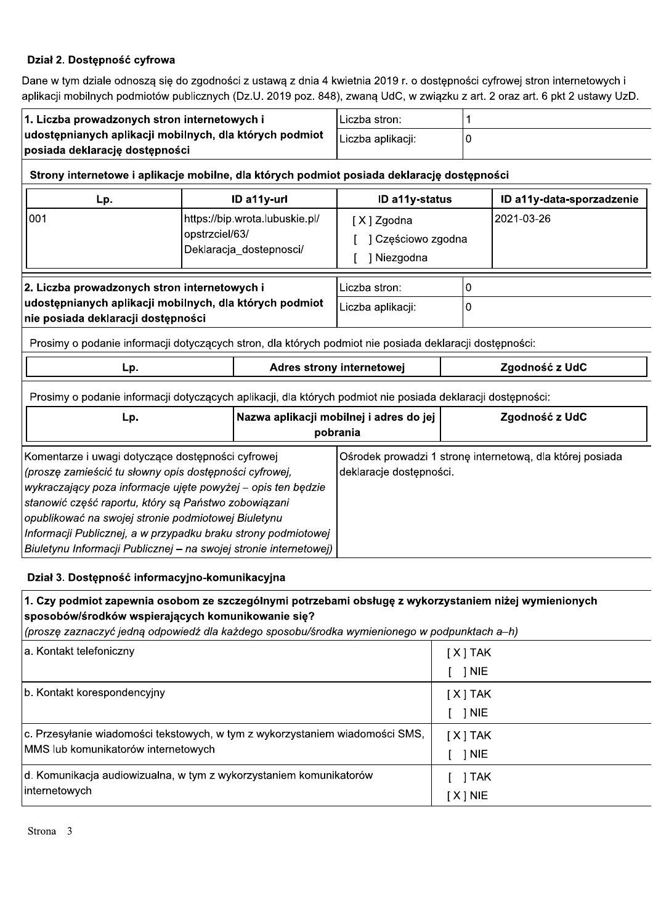### Dział 2. Dostępność cyfrowa

Dane w tym dziale odnoszą się do zgodności z ustawą z dnia 4 kwietnia 2019 r. o dostępności cyfrowej stron internetowych i aplikacji mobilnych podmiotów publicznych (Dz.U. 2019 poz. 848), zwaną UdC, w związku z art. 2 oraz art. 6 pkt 2 ustawy UzD.

| 1. Liczba prowadzonych stron internetowych i<br>udostępnianych aplikacji mobilnych, dla których podmiot<br>posiada deklarację dostępności                                                                                                                                                                                                                   |                                              | Liczba stron:                                       |                           |                                                           |                           |
|-------------------------------------------------------------------------------------------------------------------------------------------------------------------------------------------------------------------------------------------------------------------------------------------------------------------------------------------------------------|----------------------------------------------|-----------------------------------------------------|---------------------------|-----------------------------------------------------------|---------------------------|
|                                                                                                                                                                                                                                                                                                                                                             |                                              | Liczba aplikacji:                                   | 0                         |                                                           |                           |
| Strony internetowe i aplikacje mobilne, dla których podmiot posiada deklarację dostępności                                                                                                                                                                                                                                                                  |                                              |                                                     |                           |                                                           |                           |
| Lp.                                                                                                                                                                                                                                                                                                                                                         |                                              | ID a11y-url                                         | ID a11y-status            |                                                           | ID a11y-data-sporzadzenie |
| 001                                                                                                                                                                                                                                                                                                                                                         |                                              | https://bip.wrota.lubuskie.pl/                      | [X] Zgodna                |                                                           | 2021-03-26                |
|                                                                                                                                                                                                                                                                                                                                                             | opstrzciel/63/                               |                                                     | ] Częściowo zgodna        |                                                           |                           |
|                                                                                                                                                                                                                                                                                                                                                             |                                              | Deklaracja_dostepnosci/                             | ] Niezgodna               |                                                           |                           |
|                                                                                                                                                                                                                                                                                                                                                             | 2. Liczba prowadzonych stron internetowych i |                                                     | Liczba stron:             | 0                                                         |                           |
| udostępnianych aplikacji mobilnych, dla których podmiot<br>nie posiada deklaracji dostępności                                                                                                                                                                                                                                                               |                                              |                                                     | Liczba aplikacji:         | 0                                                         |                           |
| Prosimy o podanie informacji dotyczących stron, dla których podmiot nie posiada deklaracji dostępności:                                                                                                                                                                                                                                                     |                                              |                                                     |                           |                                                           |                           |
| Lp.                                                                                                                                                                                                                                                                                                                                                         |                                              |                                                     | Adres strony internetowej |                                                           | Zgodność z UdC            |
| Prosimy o podanie informacji dotyczących aplikacji, dla których podmiot nie posiada deklaracji dostępności:                                                                                                                                                                                                                                                 |                                              |                                                     |                           |                                                           |                           |
| Lp.                                                                                                                                                                                                                                                                                                                                                         |                                              | Nazwa aplikacji mobilnej i adres do jej<br>pobrania |                           | Zgodność z UdC                                            |                           |
| Komentarze i uwagi dotyczące dostępności cyfrowej<br>(proszę zamieścić tu słowny opis dostępności cyfrowej,<br>wykraczający poza informacje ujęte powyżej – opis ten będzie<br>stanowić część raportu, który są Państwo zobowiązani<br>opublikować na swojej stronie podmiotowej Biuletynu<br>Informacji Publicznej, a w przypadku braku strony podmiotowej |                                              | deklaracje dostępności.                             |                           | Ośrodek prowadzi 1 stronę internetową, dla której posiada |                           |
| Biuletynu Informacji Publicznej - na swojej stronie internetowej)                                                                                                                                                                                                                                                                                           |                                              |                                                     |                           |                                                           |                           |

### Dział 3. Dostępność informacyjno-komunikacyjna

| 1. Czy podmiot zapewnia osobom ze szczególnymi potrzebami obsługę z wykorzystaniem niżej wymienionych<br>sposobów/środków wspierających komunikowanie się?<br>(proszę zaznaczyć jedną odpowiedź dla każdego sposobu/środka wymienionego w podpunktach a-h) |             |
|------------------------------------------------------------------------------------------------------------------------------------------------------------------------------------------------------------------------------------------------------------|-------------|
| a. Kontakt telefoniczny                                                                                                                                                                                                                                    | $[X]$ TAK   |
|                                                                                                                                                                                                                                                            | 1 NIE       |
| b. Kontakt korespondencyjny                                                                                                                                                                                                                                | $[X]$ TAK   |
|                                                                                                                                                                                                                                                            | $\vert$ NIE |
| c. Przesyłanie wiadomości tekstowych, w tym z wykorzystaniem wiadomości SMS,                                                                                                                                                                               | $[X]$ TAK   |
| MMS lub komunikatorów internetowych                                                                                                                                                                                                                        | 1 NIE       |
| d. Komunikacja audiowizualna, w tym z wykorzystaniem komunikatorów                                                                                                                                                                                         | 1 TAK       |
| internetowych                                                                                                                                                                                                                                              | $[X]$ NIE   |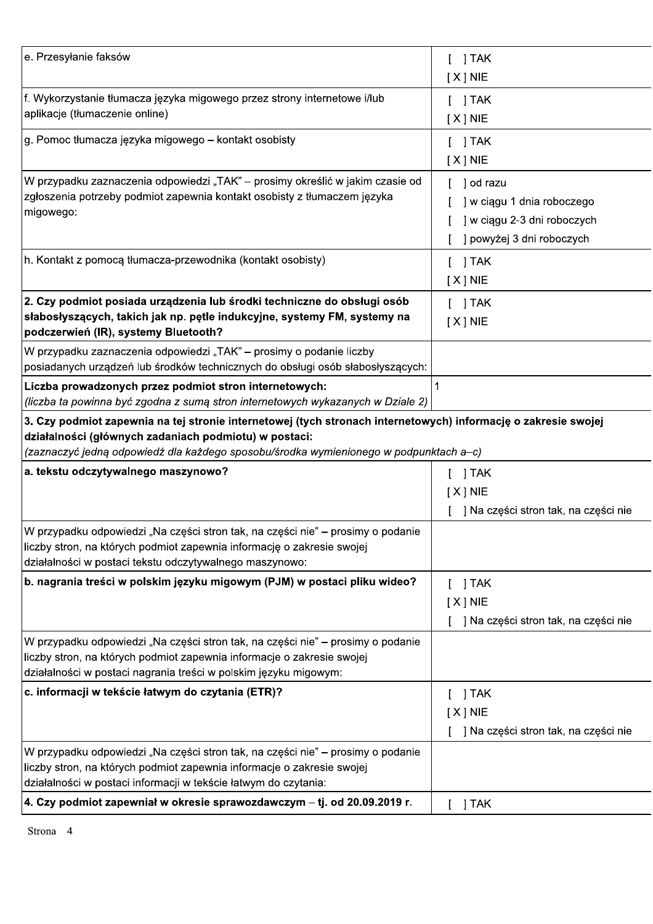| e. Przesyłanie faksów                                                                                                                                                                                                                                            | $[$ ] TAK<br>$[X]$ NIE                                                                              |
|------------------------------------------------------------------------------------------------------------------------------------------------------------------------------------------------------------------------------------------------------------------|-----------------------------------------------------------------------------------------------------|
| f. Wykorzystanie tłumacza języka migowego przez strony internetowe i/lub<br>aplikacje (tłumaczenie online)                                                                                                                                                       | $[$ ] TAK<br>$[X]$ NIE                                                                              |
| g. Pomoc tłumacza języka migowego – kontakt osobisty                                                                                                                                                                                                             | $[$ ] TAK<br>$[X]$ NIE                                                                              |
| W przypadku zaznaczenia odpowiedzi "TAK" – prosimy określić w jakim czasie od<br>zgłoszenia potrzeby podmiot zapewnia kontakt osobisty z tłumaczem języka<br>migowego:<br>h. Kontakt z pomocą tłumacza-przewodnika (kontakt osobisty)                            | ] od razu<br>] w ciągu 1 dnia roboczego<br>] w ciągu 2-3 dni roboczych<br>] powyżej 3 dni roboczych |
|                                                                                                                                                                                                                                                                  | $[$ ] TAK<br>$[X]$ NIE                                                                              |
| 2. Czy podmiot posiada urządzenia lub środki techniczne do obsługi osób<br>słabosłyszących, takich jak np. pętle indukcyjne, systemy FM, systemy na<br>podczerwień (IR), systemy Bluetooth?                                                                      | $[$ ] TAK<br>$[X]$ NIE                                                                              |
| W przypadku zaznaczenia odpowiedzi "TAK" – prosimy o podanie liczby<br>posiadanych urządzeń lub środków technicznych do obsługi osób słabosłyszących:                                                                                                            |                                                                                                     |
| Liczba prowadzonych przez podmiot stron internetowych:<br>(liczba ta powinna być zgodna z sumą stron internetowych wykazanych w Dziale 2)                                                                                                                        | 1                                                                                                   |
| 3. Czy podmiot zapewnia na tej stronie internetowej (tych stronach internetowych) informację o zakresie swojej<br>działalności (głównych zadaniach podmiotu) w postaci:<br>(zaznaczyć jedną odpowiedź dla każdego sposobu/środka wymienionego w podpunktach a-c) |                                                                                                     |
| a. tekstu odczytywalnego maszynowo?                                                                                                                                                                                                                              | ] TAK<br>$[X]$ NIE<br>] Na części stron tak, na części nie                                          |
| W przypadku odpowiedzi "Na części stron tak, na części nie" – prosimy o podanie<br>liczby stron, na których podmiot zapewnia informację o zakresie swojej<br>działalności w postaci tekstu odczytywalnego maszynowo:                                             |                                                                                                     |
| b. nagrania treści w polskim języku migowym (PJM) w postaci pliku wideo?                                                                                                                                                                                         | ] TAK<br>$[X]$ NIE<br>] Na części stron tak, na części nie                                          |
| W przypadku odpowiedzi "Na części stron tak, na części nie" – prosimy o podanie<br>liczby stron, na których podmiot zapewnia informacje o zakresie swojej<br>działalności w postaci nagrania treści w polskim języku migowym:                                    |                                                                                                     |
| c. informacji w tekście łatwym do czytania (ETR)?                                                                                                                                                                                                                | 1 TAK<br>$[X]$ NIE<br>] Na części stron tak, na części nie                                          |
| W przypadku odpowiedzi "Na części stron tak, na części nie" – prosimy o podanie<br>liczby stron, na których podmiot zapewnia informacje o zakresie swojej<br>działalności w postaci informacji w tekście łatwym do czytania:                                     |                                                                                                     |
| 4. Czy podmiot zapewniał w okresie sprawozdawczym - tj. od 20.09.2019 r.                                                                                                                                                                                         | ] TAK<br>L                                                                                          |

Strona 4